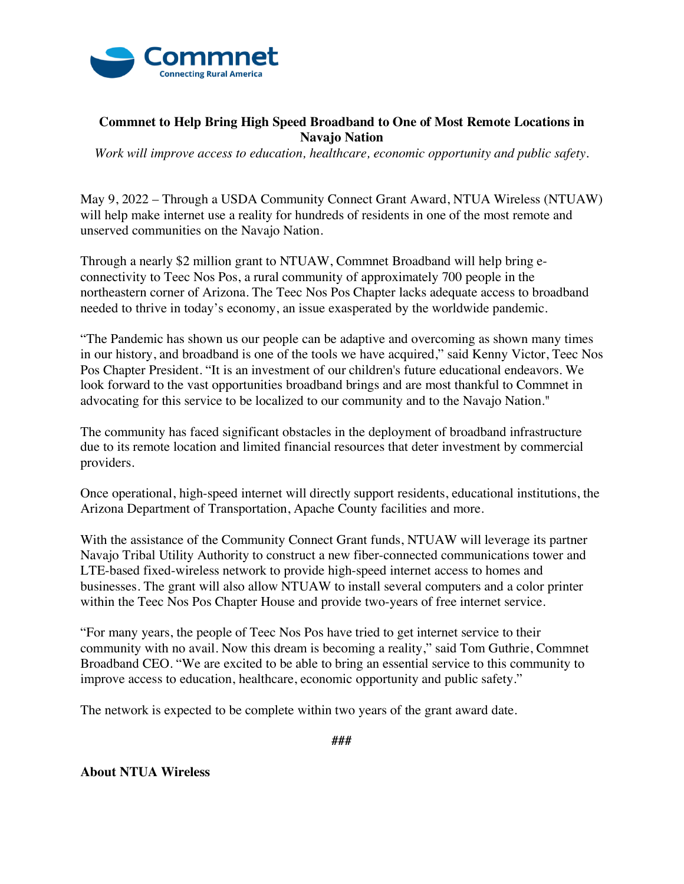

## **Commnet to Help Bring High Speed Broadband to One of Most Remote Locations in Navajo Nation**

*Work will improve access to education, healthcare, economic opportunity and public safety.*

May 9, 2022 – Through a USDA Community Connect Grant Award, NTUA Wireless (NTUAW) will help make internet use a reality for hundreds of residents in one of the most remote and unserved communities on the Navajo Nation.

Through a nearly \$2 million grant to NTUAW, Commnet Broadband will help bring econnectivity to Teec Nos Pos, a rural community of approximately 700 people in the northeastern corner of Arizona. The Teec Nos Pos Chapter lacks adequate access to broadband needed to thrive in today's economy, an issue exasperated by the worldwide pandemic.

"The Pandemic has shown us our people can be adaptive and overcoming as shown many times in our history, and broadband is one of the tools we have acquired," said Kenny Victor, Teec Nos Pos Chapter President. "It is an investment of our children's future educational endeavors. We look forward to the vast opportunities broadband brings and are most thankful to Commnet in advocating for this service to be localized to our community and to the Navajo Nation."

The community has faced significant obstacles in the deployment of broadband infrastructure due to its remote location and limited financial resources that deter investment by commercial providers.

Once operational, high-speed internet will directly support residents, educational institutions, the Arizona Department of Transportation, Apache County facilities and more.

With the assistance of the Community Connect Grant funds, NTUAW will leverage its partner Navajo Tribal Utility Authority to construct a new fiber-connected communications tower and LTE-based fixed-wireless network to provide high-speed internet access to homes and businesses. The grant will also allow NTUAW to install several computers and a color printer within the Teec Nos Pos Chapter House and provide two-years of free internet service.

"For many years, the people of Teec Nos Pos have tried to get internet service to their community with no avail. Now this dream is becoming a reality," said Tom Guthrie, Commnet Broadband CEO. "We are excited to be able to bring an essential service to this community to improve access to education, healthcare, economic opportunity and public safety."

The network is expected to be complete within two years of the grant award date.

**###**

**About NTUA Wireless**